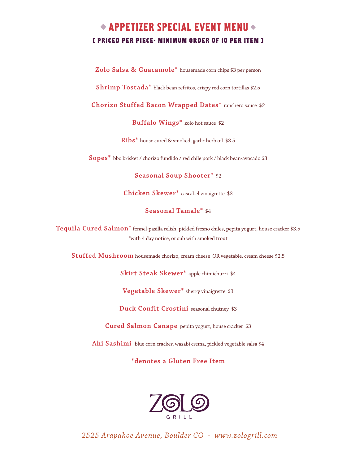# $\triangle$  APPETIZER SPECIAL EVENT MENU  $\triangle$ **[ PRICED PER PIECE- MINIMUM ORDER OF 10 PER ITEM ]**

**Zolo Salsa & Guacamole\*** housemade corn chips \$3 per person

**Shrimp Tostada\*** black bean refritos, crispy red corn tortillas \$2.5

**Chorizo Stuffed Bacon Wrapped Dates\*** ranchero sauce \$2

**Buffalo Wings\*** zolo hot sauce \$2

**Ribs\*** house cured & smoked, garlic herb oil \$3.5

**Sopes\*** bbq brisket / chorizo fundido / red chile pork / black bean-avocado \$3

**Seasonal Soup Shooter\*** \$2

**Chicken Skewer\*** cascabel vinaigrette \$3

#### **Seasonal Tamale\*** \$4

**Tequila Cured Salmon\*** fennel-pasilla relish, pickled fresno chiles, pepita yogurt, house cracker \$3.5 \*with 4 day notice, or sub with smoked trout

**Stuffed Mushroom** housemade chorizo, cream cheese OR vegetable, cream cheese \$2.5

**Skirt Steak Skewer\*** apple chimichurri \$4

**Vegetable Skewer\*** sherry vinaigrette \$3

**Duck Confit Crostini** seasonal chutney \$3

**Cured Salmon Canape** pepita yogurt, house cracker \$3

**Ahi Sashimi** blue corn cracker, wasabi crema, pickled vegetable salsa \$4

**\*denotes a Gluten Free Item**

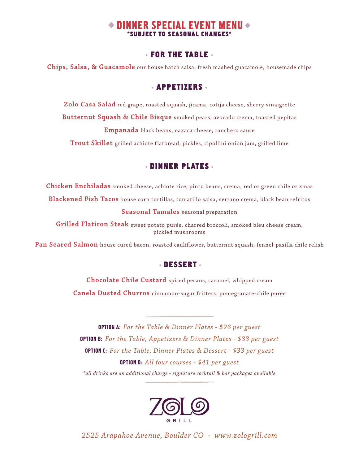# DINNER SPECIAL EVENT MENU **\*SUBJECT TO SEASONAL CHANGES\***

#### **FOR THE TABLE**

**Chips, Salsa, & Guacamole** our house hatch salsa, fresh mashed guacamole, housemade chips

## **APPETIZERS**

**Zolo Casa Salad** red grape, roasted squash, jicama, cotija cheese, sherry vinaigrette **Butternut Squash & Chile Bisque** smoked pears, avocado crema, toasted pepitas **Empanada** black beans, oaxaca cheese, ranchero sauce

**Trout Skillet** grilled achiote flatbread, pickles, cipollini onion jam, grilled lime

# **DINNER PLATES**

**Chicken Enchiladas** smoked cheese, achiote rice, pinto beans, crema, red or green chile or xmas **Blackened Fish Tacos** house corn tortillas, tomatillo salsa, serrano crema, black bean refritos

**Seasonal Tamales** seasonal preparation

**Grilled Flatiron Steak** sweet potato purée, charred broccoli, smoked bleu cheese cream, pickled mushrooms

**Pan Seared Salmon** house cured bacon, roasted cauliflower, butternut squash, fennel-pasilla chile relish

# **DESSERT**

**Chocolate Chile Custard** spiced pecans, caramel, whipped cream

**Canela Dusted Churros** cinnamon-sugar fritters, pomegranate-chile purèe

OPTION A: *For the Table & Dinner Plates - \$26 per guest* OPTION B: *For the Table, Appetizers & Dinner Plates - \$33 per guest* OPTION C: *For the Table, Dinner Plates & Dessert - \$33 per guest* OPTION D: *All four courses - \$41 per guest \*all drinks are an additional charge - signature cocktail & bar packages available*

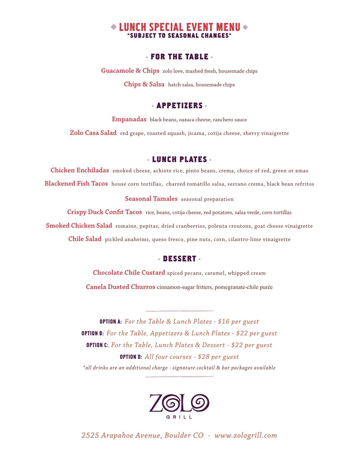# $\bullet$  LUNCH SPECIAL EVENT MENU  $\bullet$ **SUBJECT TO SEASONAL CHANGES**

#### **FOR THE TABLE**

**Guacamole & Chips** zolo love, mashed fresh, housemade chips

**Chips & Salsa** hatch salsa, housemade chips

#### **APPETIZERS**

**Empanadas** black beans, oaxaca cheese, ranchero sauce

**Zolo Casa Salad** red grape, roasted squash, jicama, cotija cheese, sherry vinaigrette

#### **LUNCH PLATES**

**Chicken Enchiladas** smoked cheese, achiote rice, pinto beans, crema, choice of red, green or xmas **Blackened Fish Tacos** house corn tortillas, charred tomatillo salsa, serrano crema, black bean refritos

**Seasonal Tamales** seasonal preparation

**Crispy Duck Confit Tacos** rice, beans, cotija cheese, red potatoes, salsa verde, corn tortillas **Smoked Chicken Salad** romaine, pepitas, dried cranberries, polenta croutons, goat cheese vinaigrette **Chile Salad** pickled anaheims, queso fresco, pine nuts, corn, cilantro-lime vinaigrette

#### **DESSERT**

**Chocolate Chile Custard** spiced pecans, caramel, whipped cream **Canela Dusted Churros** cinnamon-sugar fritters, pomegranate-chile purèe

OPTION A: *For the Table & Lunch Plates - \$16 per guest* OPTION B: *For the Table, Appetizers & Lunch Plates - \$22 per guest* OPTION C: *For the Table, Lunch Plates & Dessert - \$22 per guest* OPTION D: *All four courses - \$28 per guest \*all drinks are an additional charge - signature cocktail & bar packages available*

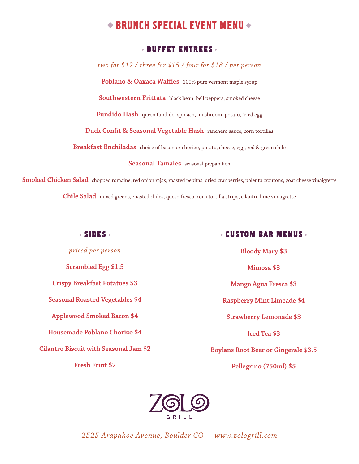# $\triangle$  BRUNCH SPECIAL EVENT MENU  $\triangle$

## **BUFFET ENTREES**

*two for \$12 / three for \$15 / four for \$18 / per person* **Poblano & Oaxaca Waffles** 100% pure vermont maple syrup **Southwestern Frittata** black bean, bell peppers, smoked cheese **Fundido Hash** queso fundido, spinach, mushroom, potato, fried egg **Duck Confit & Seasonal Vegetable Hash** ranchero sauce, corn tortillas **Breakfast Enchiladas** choice of bacon or chorizo, potato, cheese, egg, red & green chile **Seasonal Tamales** seasonal preparation

**Smoked Chicken Salad** chopped romaine, red onion rajas, roasted pepitas, dried cranberries, polenta croutons, goat cheese vinaigrette **Chile Salad** mixed greens, roasted chiles, queso fresco, corn tortilla strips, cilantro lime vinaigrette

#### **SIDES**

*priced per person* **Scrambled Egg \$1.5 Crispy Breakfast Potatoes \$3 Seasonal Roasted Vegetables \$4 Applewood Smoked Bacon \$4 Housemade Poblano Chorizo \$4 Cilantro Biscuit with Seasonal Jam \$2 Fresh Fruit \$2**

#### **CUSTOM BAR MENUS**

**Bloody Mary \$3 Mimosa \$3 Mango Agua Fresca \$3 Raspberry Mint Limeade \$4 Strawberry Lemonade \$3 Iced Tea \$3 Boylans Root Beer or Gingerale \$3.5 Pellegrino (750ml) \$5**

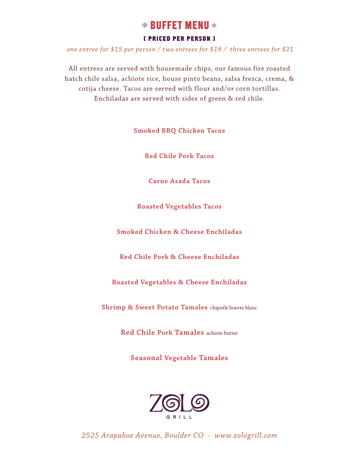# $\bullet$  BUFFET MENU  $\bullet$

#### **[ PRICED PER PERSON ]**

 *one entree for \$15 per person / two entrees for \$18 / three entrees for \$21*

All entrees are served with housemade chips, our famous fire roasted hatch chile salsa, achiote rice, house pinto beans, salsa fresca, crema, & cotija cheese. Tacos are served with flour and/or corn tortillas. Enchiladas are served with sides of green & red chile.

**Smoked BBQ Chicken Tacos** 

**Red Chile Pork Tacos** 

**Carne Asada Tacos**

**Roasted Vegetables Tacos**

**Smoked Chicken & Cheese Enchiladas** 

**Red Chile Pork & Cheese Enchiladas** 

**Roasted Vegetables & Cheese Enchiladas**

**Shrimp & Sweet Potato Tamales** chipotle buerre blanc

**Red Chile Pork Tamales** achiote butter

**Seasonal Vegetable Tamales**